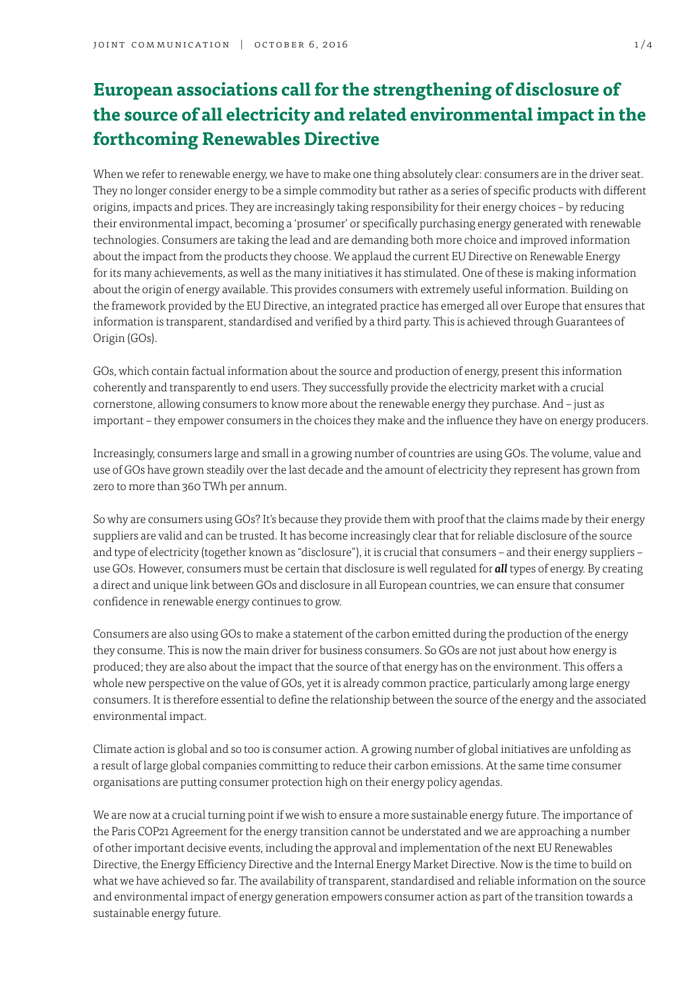# **European associations call for the strengthening of disclosure of the source of all electricity and related environmental impact in the forthcoming Renewables Directive**

When we refer to renewable energy, we have to make one thing absolutely clear: consumers are in the driver seat. They no longer consider energy to be a simple commodity but rather as a series of specific products with different origins, impacts and prices. They are increasingly taking responsibility for their energy choices – by reducing their environmental impact, becoming a 'prosumer' or specifically purchasing energy generated with renewable technologies. Consumers are taking the lead and are demanding both more choice and improved information about the impact from the products they choose. We applaud the current EU Directive on Renewable Energy for its many achievements, as well as the many initiatives it has stimulated. One of these is making information about the origin of energy available. This provides consumers with extremely useful information. Building on the framework provided by the EU Directive, an integrated practice has emerged all over Europe that ensures that information is transparent, standardised and verified by a third party. This is achieved through Guarantees of Origin (GOs).

GOs, which contain factual information about the source and production of energy, present this information coherently and transparently to end users. They successfully provide the electricity market with a crucial cornerstone, allowing consumers to know more about the renewable energy they purchase. And – just as important – they empower consumers in the choices they make and the influence they have on energy producers.

Increasingly, consumers large and small in a growing number of countries are using GOs. The volume, value and use of GOs have grown steadily over the last decade and the amount of electricity they represent has grown from zero to more than 360 TWh per annum.

So why are consumers using GOs? It's because they provide them with proof that the claims made by their energy suppliers are valid and can be trusted. It has become increasingly clear that for reliable disclosure of the source and type of electricity (together known as "disclosure"), it is crucial that consumers – and their energy suppliers – use GOs. However, consumers must be certain that disclosure is well regulated for *all* types of energy. By creating a direct and unique link between GOs and disclosure in all European countries, we can ensure that consumer confidence in renewable energy continues to grow.

Consumers are also using GOs to make a statement of the carbon emitted during the production of the energy they consume. This is now the main driver for business consumers. So GOs are not just about how energy is produced; they are also about the impact that the source of that energy has on the environment. This offers a whole new perspective on the value of GOs, yet it is already common practice, particularly among large energy consumers. It is therefore essential to define the relationship between the source of the energy and the associated environmental impact.

Climate action is global and so too is consumer action. A growing number of global initiatives are unfolding as a result of large global companies committing to reduce their carbon emissions. At the same time consumer organisations are putting consumer protection high on their energy policy agendas.

We are now at a crucial turning point if we wish to ensure a more sustainable energy future. The importance of the Paris COP21 Agreement for the energy transition cannot be understated and we are approaching a number of other important decisive events, including the approval and implementation of the next EU Renewables Directive, the Energy Efficiency Directive and the Internal Energy Market Directive. Now is the time to build on what we have achieved so far. The availability of transparent, standardised and reliable information on the source and environmental impact of energy generation empowers consumer action as part of the transition towards a sustainable energy future.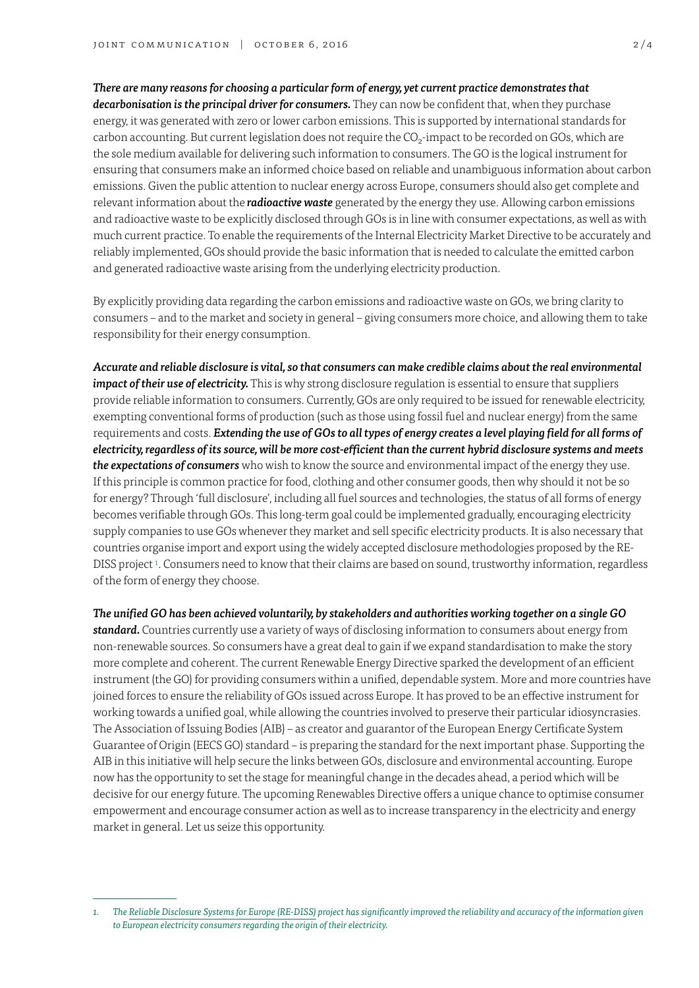## *There are many reasons for choosing a particular form of energy, yet current practice demonstrates that*

*decarbonisation is the principal driver for consumers.* They can now be confident that, when they purchase energy, it was generated with zero or lower carbon emissions. This is supported by international standards for carbon accounting. But current legislation does not require the CO<sub>2</sub>-impact to be recorded on GOs, which are the sole medium available for delivering such information to consumers. The GO is the logical instrument for ensuring that consumers make an informed choice based on reliable and unambiguous information about carbon emissions. Given the public attention to nuclear energy across Europe, consumers should also get complete and relevant information about the *radioactive waste* generated by the energy they use. Allowing carbon emissions and radioactive waste to be explicitly disclosed through GOs is in line with consumer expectations, as well as with much current practice. To enable the requirements of the Internal Electricity Market Directive to be accurately and reliably implemented, GOs should provide the basic information that is needed to calculate the emitted carbon and generated radioactive waste arising from the underlying electricity production.

By explicitly providing data regarding the carbon emissions and radioactive waste on GOs, we bring clarity to consumers – and to the market and society in general – giving consumers more choice, and allowing them to take responsibility for their energy consumption.

*Accurate and reliable disclosure is vital, so that consumers can make credible claims about the real environmental impact of their use of electricity.* This is why strong disclosure regulation is essential to ensure that suppliers provide reliable information to consumers. Currently, GOs are only required to be issued for renewable electricity, exempting conventional forms of production (such as those using fossil fuel and nuclear energy) from the same requirements and costs. *Extending the use of GOs to all types of energy creates a level playing field for all forms of electricity, regardless of its source, will be more cost-efficient than the current hybrid disclosure systems and meets the expectations of consumers* who wish to know the source and environmental impact of the energy they use. If this principle is common practice for food, clothing and other consumer goods, then why should it not be so for energy? Through 'full disclosure', including all fuel sources and technologies, the status of all forms of energy becomes verifiable through GOs. This long-term goal could be implemented gradually, encouraging electricity supply companies to use GOs whenever they market and sell specific electricity products. It is also necessary that countries organise import and export using the widely accepted disclosure methodologies proposed by the RE-DISS project 1. Consumers need to know that their claims are based on sound, trustworthy information, regardless of the form of energy they choose.

*The unified GO has been achieved voluntarily, by stakeholders and authorities working together on a single GO standard.* Countries currently use a variety of ways of disclosing information to consumers about energy from non-renewable sources. So consumers have a great deal to gain if we expand standardisation to make the story more complete and coherent. The current Renewable Energy Directive sparked the development of an efficient instrument (the GO) for providing consumers within a unified, dependable system. More and more countries have joined forces to ensure the reliability of GOs issued across Europe. It has proved to be an effective instrument for working towards a unified goal, while allowing the countries involved to preserve their particular idiosyncrasies. The Association of Issuing Bodies (AIB) – as creator and guarantor of the European Energy Certificate System Guarantee of Origin (EECS GO) standard – is preparing the standard for the next important phase. Supporting the AIB in this initiative will help secure the links between GOs, disclosure and environmental accounting. Europe now has the opportunity to set the stage for meaningful change in the decades ahead, a period which will be decisive for our energy future. The upcoming Renewables Directive offers a unique chance to optimise consumer empowerment and encourage consumer action as well as to increase transparency in the electricity and energy market in general. Let us seize this opportunity.

*<sup>1.</sup> The [Reliable Disclosure Systems for Europe \(RE-DISS\)](http://www.reliable-disclosure.org/) project has significantly improved the reliability and accuracy of the information given to European electricity consumers regarding the origin of their electricity.*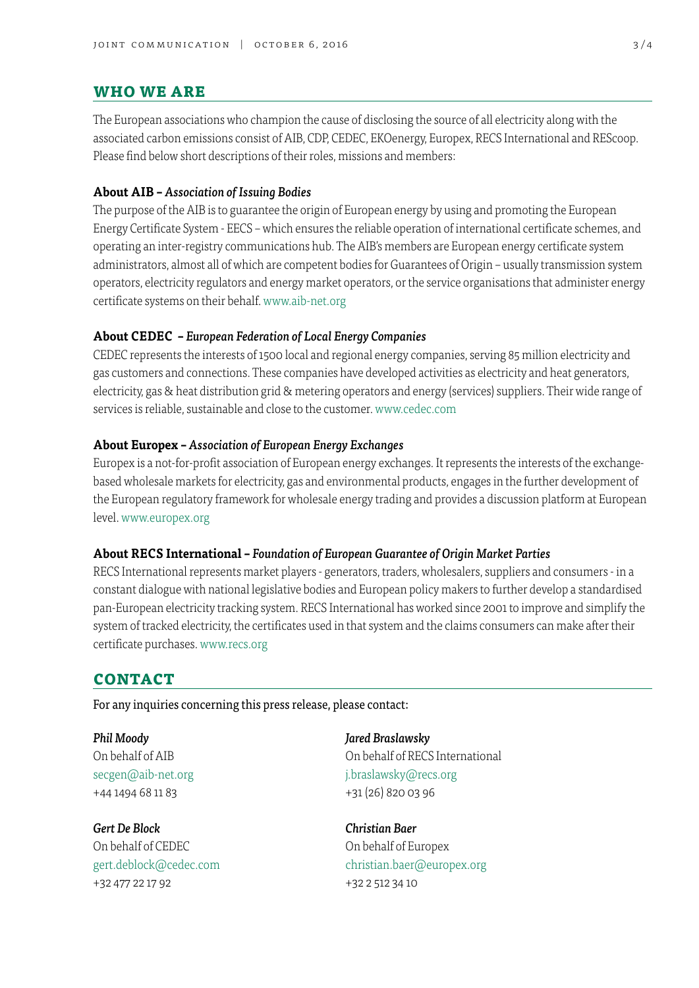## **who we are**

The European associations who champion the cause of disclosing the source of all electricity along with the associated carbon emissions consist of AIB, CDP, CEDEC, EKOenergy, Europex, RECS International and REScoop. Please find below short descriptions of their roles, missions and members:

### **About AIB –** *Association of Issuing Bodies*

The purpose of the AIB is to guarantee the origin of European energy by using and promoting the European Energy Certificate System - EECS – which ensures the reliable operation of international certificate schemes, and operating an inter-registry communications hub. The AIB's members are European energy certificate system administrators, almost all of which are competent bodies for Guarantees of Origin – usually transmission system operators, electricity regulators and energy market operators, or the service organisations that administer energy certificate systems on their behalf. [www.aib-net.org](http://www.aib-net.org)

#### **About CEDEC –** *European Federation of Local Energy Companies*

CEDEC represents the interests of 1500 local and regional energy companies, serving 85 million electricity and gas customers and connections. These companies have developed activities as electricity and heat generators, electricity, gas & heat distribution grid & metering operators and energy (services) suppliers. Their wide range of services is reliable, sustainable and close to the customer. [www.cedec.com](http://www.cedec.com)

## **About Europex –** *Association of European Energy Exchanges*

Europex is a not-for-profit association of European energy exchanges. It represents the interests of the exchangebased wholesale markets for electricity, gas and environmental products, engages in the further development of the European regulatory framework for wholesale energy trading and provides a discussion platform at European level. [www.europex.org](http://www.europex.org)

#### **About RECS International –** *Foundation of European Guarantee of Origin Market Parties*

RECS International represents market players - generators, traders, wholesalers, suppliers and consumers - in a constant dialogue with national legislative bodies and European policy makers to further develop a standardised pan-European electricity tracking system. RECS International has worked since 2001 to improve and simplify the system of tracked electricity, the certificates used in that system and the claims consumers can make after their certificate purchases. [www.recs.org](http://www.recs.org)

## **contact**

For any inquiries concerning this press release, please contact:

*Phil Moody Jared Braslawsky* +44 1494 68 11 83 +31 (26) 820 03 96

*Gert De Block Christian Baer* On behalf of CEDEC On behalf of Europex +32 477 22 17 92 +32 2 512 34 10

On behalf of AIB On behalf of RECS International secgen@aib-net.org interest in the secgen@aib-net.org

gert.deblock@cedec.com christian.baer@europex.org